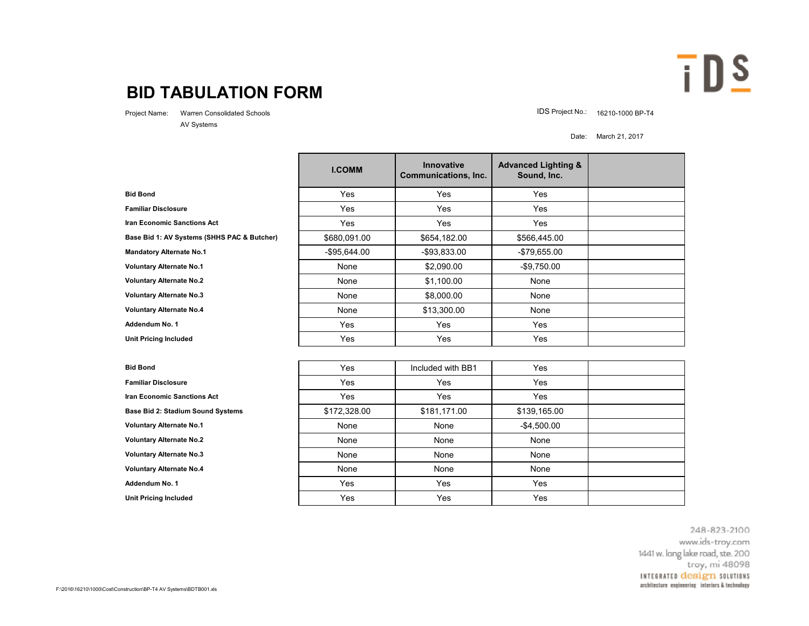## **BID TABULATION FORM**

AV Systems

Project Name: Warren Consolidated Schools **IDS Project No.: 16210-1000 BP-T4** 

Date: March 21, 2017

 $\overline{I}$  DS

|                                             | <b>I.COMM</b>   | Innovative<br><b>Communications, Inc.</b> | <b>Advanced Lighting &amp;</b><br>Sound, Inc. |  |
|---------------------------------------------|-----------------|-------------------------------------------|-----------------------------------------------|--|
| <b>Bid Bond</b>                             | Yes             | Yes                                       | Yes                                           |  |
| <b>Familiar Disclosure</b>                  | Yes             | Yes                                       | Yes                                           |  |
| <b>Iran Economic Sanctions Act</b>          | Yes             | Yes                                       | Yes                                           |  |
| Base Bid 1: AV Systems (SHHS PAC & Butcher) | \$680,091.00    | \$654,182.00                              | \$566,445.00                                  |  |
| <b>Mandatory Alternate No.1</b>             | $-$ \$95,644.00 | $-$93,833.00$                             | $-$79,655.00$                                 |  |
| <b>Voluntary Alternate No.1</b>             | None            | \$2,090.00                                | $-$9,750.00$                                  |  |
| <b>Voluntary Alternate No.2</b>             | None            | \$1,100.00                                | None                                          |  |
| <b>Voluntary Alternate No.3</b>             | None            | \$8,000.00                                | None                                          |  |
| <b>Voluntary Alternate No.4</b>             | None            | \$13,300.00                               | None                                          |  |
| Addendum No. 1                              | Yes             | Yes                                       | Yes                                           |  |
| <b>Unit Pricing Included</b>                | Yes             | Yes                                       | Yes                                           |  |

| <b>Bid Bond</b>                    | Yes          | Included with BB1 | Yes            |  |
|------------------------------------|--------------|-------------------|----------------|--|
| <b>Familiar Disclosure</b>         | Yes          | Yes               | Yes            |  |
| <b>Iran Economic Sanctions Act</b> | Yes          | Yes               | Yes            |  |
| Base Bid 2: Stadium Sound Systems  | \$172,328.00 | \$181,171.00      | \$139,165.00   |  |
| <b>Voluntary Alternate No.1</b>    | None         | None              | $-$ \$4,500.00 |  |
| <b>Voluntary Alternate No.2</b>    | None         | None              | None           |  |
| <b>Voluntary Alternate No.3</b>    | None         | None              | None           |  |
| <b>Voluntary Alternate No.4</b>    | None         | None              | None           |  |
| Addendum No. 1                     | Yes          | Yes               | Yes            |  |
| <b>Unit Pricing Included</b>       | Yes          | Yes               | Yes            |  |

248-823-2100 www.ids-troy.com 1441 w. long lake road, ste. 200 troy, mi 48098 INTEGRATED design SOLUTIONS architecture engineering interiors & technology